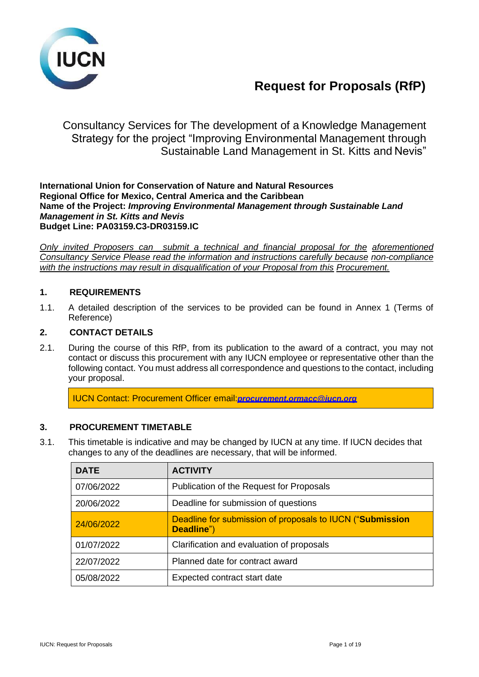

# **Request for Proposals (RfP)**

Consultancy Services for The development of a Knowledge Management Strategy for the project "Improving Environmental Management through Sustainable Land Management in St. Kitts and Nevis"

**International Union for Conservation of Nature and Natural Resources Regional Office for Mexico, Central America and the Caribbean Name of the Project:** *Improving Environmental Management through Sustainable Land Management in St. Kitts and Nevis* **Budget Line: PA03159.C3-DR03159.IC**

*Only invited Proposers can submit a technical and financial proposal for the aforementioned Consultancy Service Please read the information and instructions carefully because non-compliance with the instructions may result in disqualification of your Proposal from this Procurement.*

## **1. REQUIREMENTS**

1.1. A detailed description of the services to be provided can be found in Annex 1 (Terms of Reference)

## **2. CONTACT DETAILS**

2.1. During the course of this RfP, from its publication to the award of a contract, you may not contact or discuss this procurement with any IUCN employee or representative other than the following contact. You must address all correspondence and questions to the contact, including your proposal.

IUCN Contact: Procurement Officer [email:](mailto:procurement.ormacc@iucn.org)*[procurement.ormacc@iucn.org](mailto:procurement.ormacc@iucn.org)*

## **3. PROCUREMENT TIMETABLE**

3.1. This timetable is indicative and may be changed by IUCN at any time. If IUCN decides that changes to any of the deadlines are necessary, that will be informed.

| <b>DATE</b> | <b>ACTIVITY</b>                                                         |
|-------------|-------------------------------------------------------------------------|
| 07/06/2022  | Publication of the Request for Proposals                                |
| 20/06/2022  | Deadline for submission of questions                                    |
| 24/06/2022  | Deadline for submission of proposals to IUCN ("Submission<br>Deadline") |
| 01/07/2022  | Clarification and evaluation of proposals                               |
| 22/07/2022  | Planned date for contract award                                         |
| 05/08/2022  | Expected contract start date                                            |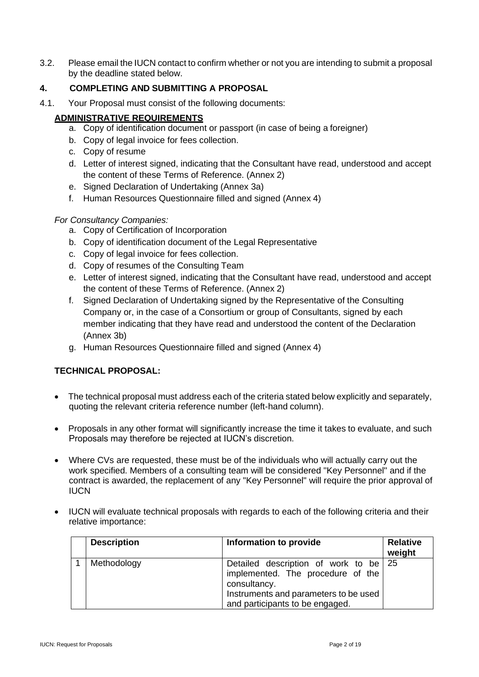3.2. Please email the IUCN contact to confirm whether or not you are intending to submit a proposal by the deadline stated below.

## **4. COMPLETING AND SUBMITTING A PROPOSAL**

4.1. Your Proposal must consist of the following documents:

## **ADMINISTRATIVE REQUIREMENTS**

- a. Copy of identification document or passport (in case of being a foreigner)
- b. Copy of legal invoice for fees collection.
- c. Copy of resume
- d. Letter of interest signed, indicating that the Consultant have read, understood and accept the content of these Terms of Reference. (Annex 2)
- e. Signed Declaration of Undertaking (Annex 3a)
- f. Human Resources Questionnaire filled and signed (Annex 4)

## *For Consultancy Companies:*

- a. Copy of Certification of Incorporation
- b. Copy of identification document of the Legal Representative
- c. Copy of legal invoice for fees collection.
- d. Copy of resumes of the Consulting Team
- e. Letter of interest signed, indicating that the Consultant have read, understood and accept the content of these Terms of Reference. (Annex 2)
- f. Signed Declaration of Undertaking signed by the Representative of the Consulting Company or, in the case of a Consortium or group of Consultants, signed by each member indicating that they have read and understood the content of the Declaration (Annex 3b)
- g. Human Resources Questionnaire filled and signed (Annex 4)

## **TECHNICAL PROPOSAL:**

- The technical proposal must address each of the criteria stated below explicitly and separately, quoting the relevant criteria reference number (left-hand column).
- Proposals in any other format will significantly increase the time it takes to evaluate, and such Proposals may therefore be rejected at IUCN's discretion.
- Where CVs are requested, these must be of the individuals who will actually carry out the work specified. Members of a consulting team will be considered "Key Personnel" and if the contract is awarded, the replacement of any "Key Personnel" will require the prior approval of **IUCN**
- IUCN will evaluate technical proposals with regards to each of the following criteria and their relative importance:

| <b>Description</b> | Information to provide                                                                                                                                                 | <b>Relative</b><br>weight |
|--------------------|------------------------------------------------------------------------------------------------------------------------------------------------------------------------|---------------------------|
| Methodology        | Detailed description of work to be 25<br>implemented. The procedure of the<br>consultancy.<br>Instruments and parameters to be used<br>and participants to be engaged. |                           |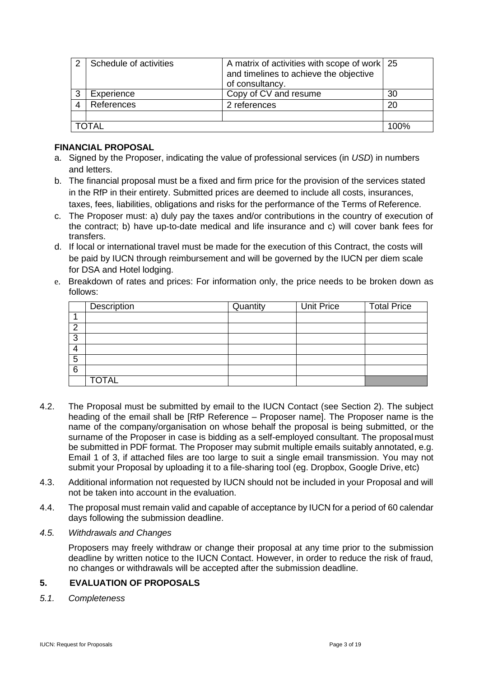|   | Schedule of activities | A matrix of activities with scope of work 25<br>and timelines to achieve the objective<br>of consultancy. |      |
|---|------------------------|-----------------------------------------------------------------------------------------------------------|------|
| 3 | Experience             | Copy of CV and resume                                                                                     | 30   |
|   | References             | 2 references                                                                                              | 20   |
|   |                        |                                                                                                           |      |
|   | ⊤∆ι                    |                                                                                                           | 100% |

## **FINANCIAL PROPOSAL**

- a. Signed by the Proposer, indicating the value of professional services (in *USD*) in numbers and letters.
- b. The financial proposal must be a fixed and firm price for the provision of the services stated in the RfP in their entirety. Submitted prices are deemed to include all costs, insurances, taxes, fees, liabilities, obligations and risks for the performance of the Terms of Reference.
- c. The Proposer must: a) duly pay the taxes and/or contributions in the country of execution of the contract; b) have up-to-date medical and life insurance and c) will cover bank fees for transfers.
- d. If local or international travel must be made for the execution of this Contract, the costs will be paid by IUCN through reimbursement and will be governed by the IUCN per diem scale for DSA and Hotel lodging.
- e. Breakdown of rates and prices: For information only, the price needs to be broken down as follows:

|        | Description  | Quantity | <b>Unit Price</b> | <b>Total Price</b> |
|--------|--------------|----------|-------------------|--------------------|
|        |              |          |                   |                    |
| ົ<br>∠ |              |          |                   |                    |
| 3      |              |          |                   |                    |
| 4      |              |          |                   |                    |
| 5      |              |          |                   |                    |
| 6      |              |          |                   |                    |
|        | <b>TOTAL</b> |          |                   |                    |

- 4.2. The Proposal must be submitted by email to the IUCN Contact (see Section 2). The subject heading of the email shall be [RfP Reference – Proposer name]. The Proposer name is the name of the company/organisation on whose behalf the proposal is being submitted, or the surname of the Proposer in case is bidding as a self-employed consultant. The proposalmust be submitted in PDF format. The Proposer may submit multiple emails suitably annotated, e.g. Email 1 of 3, if attached files are too large to suit a single email transmission. You may not submit your Proposal by uploading it to a file-sharing tool (eg. Dropbox, Google Drive, etc)
- 4.3. Additional information not requested by IUCN should not be included in your Proposal and will not be taken into account in the evaluation.
- 4.4. The proposal must remain valid and capable of acceptance by IUCN for a period of 60 calendar days following the submission deadline.
- *4.5. Withdrawals and Changes*

Proposers may freely withdraw or change their proposal at any time prior to the submission deadline by written notice to the IUCN Contact. However, in order to reduce the risk of fraud, no changes or withdrawals will be accepted after the submission deadline.

## **5. EVALUATION OF PROPOSALS**

*5.1. Completeness*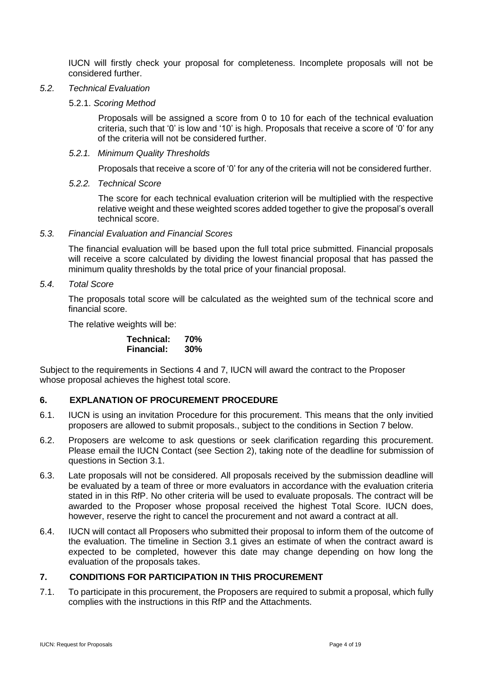IUCN will firstly check your proposal for completeness. Incomplete proposals will not be considered further.

#### *5.2. Technical Evaluation*

5.2.1. *Scoring Method*

Proposals will be assigned a score from 0 to 10 for each of the technical evaluation criteria, such that '0' is low and '10' is high. Proposals that receive a score of '0' for any of the criteria will not be considered further.

*5.2.1. Minimum Quality Thresholds*

Proposals that receive a score of '0' for any of the criteria will not be considered further.

*5.2.2. Technical Score*

The score for each technical evaluation criterion will be multiplied with the respective relative weight and these weighted scores added together to give the proposal's overall technical score.

#### *5.3. Financial Evaluation and Financial Scores*

The financial evaluation will be based upon the full total price submitted. Financial proposals will receive a score calculated by dividing the lowest financial proposal that has passed the minimum quality thresholds by the total price of your financial proposal.

*5.4. Total Score*

The proposals total score will be calculated as the weighted sum of the technical score and financial score.

The relative weights will be:

| Technical:        | 70% |
|-------------------|-----|
| <b>Financial:</b> | 30% |

Subject to the requirements in Sections 4 and 7, IUCN will award the contract to the Proposer whose proposal achieves the highest total score.

## **6. EXPLANATION OF PROCUREMENT PROCEDURE**

- 6.1. IUCN is using an invitation Procedure for this procurement. This means that the only invitied proposers are allowed to submit proposals., subject to the conditions in Section 7 below.
- 6.2. Proposers are welcome to ask questions or seek clarification regarding this procurement. Please email the IUCN Contact (see Section 2), taking note of the deadline for submission of questions in Section 3.1.
- 6.3. Late proposals will not be considered. All proposals received by the submission deadline will be evaluated by a team of three or more evaluators in accordance with the evaluation criteria stated in in this RfP. No other criteria will be used to evaluate proposals. The contract will be awarded to the Proposer whose proposal received the highest Total Score. IUCN does, however, reserve the right to cancel the procurement and not award a contract at all.
- 6.4. IUCN will contact all Proposers who submitted their proposal to inform them of the outcome of the evaluation. The timeline in Section 3.1 gives an estimate of when the contract award is expected to be completed, however this date may change depending on how long the evaluation of the proposals takes.

## **7. CONDITIONS FOR PARTICIPATION IN THIS PROCUREMENT**

7.1. To participate in this procurement, the Proposers are required to submit a proposal, which fully complies with the instructions in this RfP and the Attachments.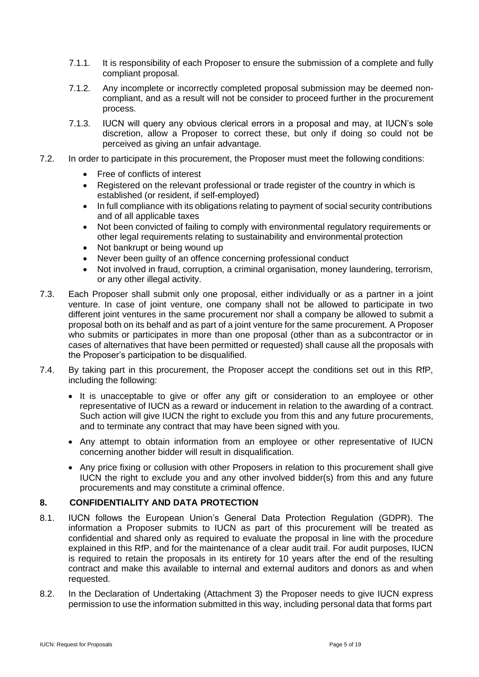- 7.1.1. It is responsibility of each Proposer to ensure the submission of a complete and fully compliant proposal.
- 7.1.2. Any incomplete or incorrectly completed proposal submission may be deemed noncompliant, and as a result will not be consider to proceed further in the procurement process.
- 7.1.3. IUCN will query any obvious clerical errors in a proposal and may, at IUCN's sole discretion, allow a Proposer to correct these, but only if doing so could not be perceived as giving an unfair advantage.
- 7.2. In order to participate in this procurement, the Proposer must meet the following conditions:
	- Free of conflicts of interest
	- Registered on the relevant professional or trade register of the country in which is established (or resident, if self-employed)
	- In full compliance with its obligations relating to payment of social security contributions and of all applicable taxes
	- Not been convicted of failing to comply with environmental regulatory requirements or other legal requirements relating to sustainability and environmental protection
	- Not bankrupt or being wound up
	- Never been guilty of an offence concerning professional conduct
	- Not involved in fraud, corruption, a criminal organisation, money laundering, terrorism, or any other illegal activity.
- 7.3. Each Proposer shall submit only one proposal, either individually or as a partner in a joint venture. In case of joint venture, one company shall not be allowed to participate in two different joint ventures in the same procurement nor shall a company be allowed to submit a proposal both on its behalf and as part of a joint venture for the same procurement. A Proposer who submits or participates in more than one proposal (other than as a subcontractor or in cases of alternatives that have been permitted or requested) shall cause all the proposals with the Proposer's participation to be disqualified.
- 7.4. By taking part in this procurement, the Proposer accept the conditions set out in this RfP, including the following:
	- It is unacceptable to give or offer any gift or consideration to an employee or other representative of IUCN as a reward or inducement in relation to the awarding of a contract. Such action will give IUCN the right to exclude you from this and any future procurements, and to terminate any contract that may have been signed with you.
	- Any attempt to obtain information from an employee or other representative of IUCN concerning another bidder will result in disqualification.
	- Any price fixing or collusion with other Proposers in relation to this procurement shall give IUCN the right to exclude you and any other involved bidder(s) from this and any future procurements and may constitute a criminal offence.

## **8. CONFIDENTIALITY AND DATA PROTECTION**

- 8.1. IUCN follows the European Union's General Data Protection Regulation (GDPR). The information a Proposer submits to IUCN as part of this procurement will be treated as confidential and shared only as required to evaluate the proposal in line with the procedure explained in this RfP, and for the maintenance of a clear audit trail. For audit purposes, IUCN is required to retain the proposals in its entirety for 10 years after the end of the resulting contract and make this available to internal and external auditors and donors as and when requested.
- 8.2. In the Declaration of Undertaking (Attachment 3) the Proposer needs to give IUCN express permission to use the information submitted in this way, including personal data that forms part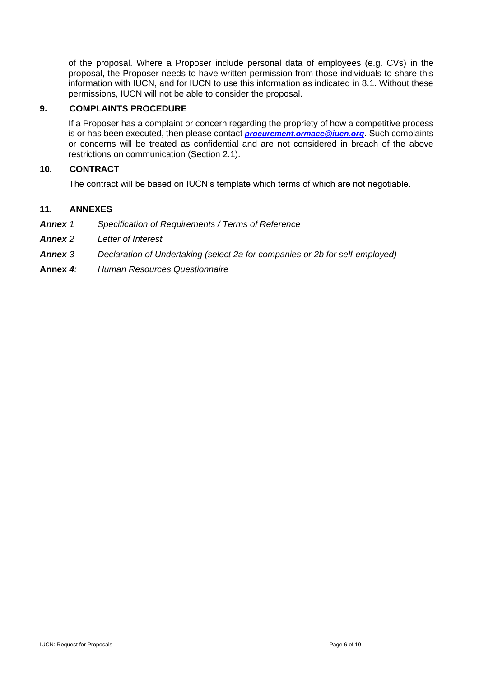of the proposal. Where a Proposer include personal data of employees (e.g. CVs) in the proposal, the Proposer needs to have written permission from those individuals to share this information with IUCN, and for IUCN to use this information as indicated in 8.1. Without these permissions, IUCN will not be able to consider the proposal.

## **9. COMPLAINTS PROCEDURE**

If a Proposer has a complaint or concern regarding the propriety of how a competitive process is or has been executed, then please contact *[procurement.ormacc@iucn.org](mailto:procurement.ormacc@iucn.org)*[.](mailto:procurement.ormacc@iucn.org) Such complaints or concerns will be treated as confidential and are not considered in breach of the above restrictions on communication (Section 2.1).

## **10. CONTRACT**

The contract will be based on IUCN's template which terms of which are not negotiable.

## **11. ANNEXES**

- *Annex 1 Specification of Requirements / Terms of Reference*
- *Annex 2 Letter of Interest*
- *Annex 3 Declaration of Undertaking (select 2a for companies or 2b for self-employed)*
- **Annex** *4: Human Resources Questionnaire*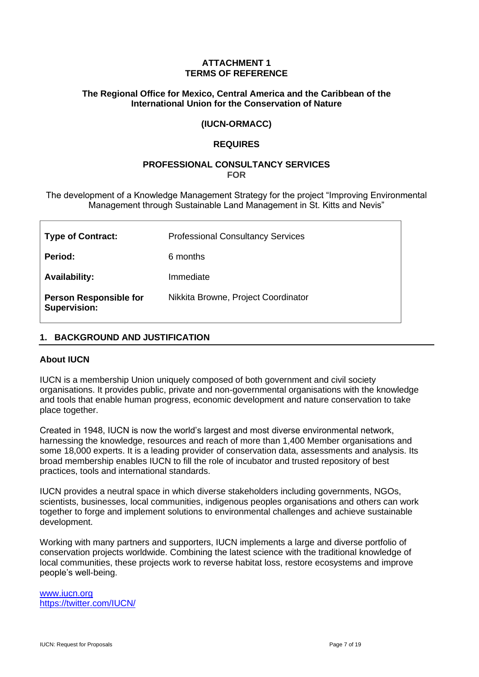## **ATTACHMENT 1 TERMS OF REFERENCE**

## **The Regional Office for Mexico, Central America and the Caribbean of the International Union for the Conservation of Nature**

## **(IUCN-ORMACC)**

## **REQUIRES**

#### **PROFESSIONAL CONSULTANCY SERVICES FOR**

The development of a Knowledge Management Strategy for the project "Improving Environmental Management through Sustainable Land Management in St. Kitts and Nevis"

| <b>Type of Contract:</b>                             | <b>Professional Consultancy Services</b> |
|------------------------------------------------------|------------------------------------------|
| Period:                                              | 6 months                                 |
| <b>Availability:</b>                                 | Immediate                                |
| <b>Person Responsible for</b><br><b>Supervision:</b> | Nikkita Browne, Project Coordinator      |

## **1. BACKGROUND AND JUSTIFICATION**

#### **About IUCN**

IUCN is a membership Union uniquely composed of both government and civil society organisations. It provides public, private and non-governmental organisations with the knowledge and tools that enable human progress, economic development and nature conservation to take place together.

Created in 1948, IUCN is now the world's largest and most diverse environmental network, harnessing the knowledge, resources and reach of more than 1,400 Member organisations and some 18,000 experts. It is a leading provider of conservation data, assessments and analysis. Its broad membership enables IUCN to fill the role of incubator and trusted repository of best practices, tools and international standards.

IUCN provides a neutral space in which diverse stakeholders including governments, NGOs, scientists, businesses, local communities, indigenous peoples organisations and others can work together to forge and implement solutions to environmental challenges and achieve sustainable development.

Working with many partners and supporters, IUCN implements a large and diverse portfolio of conservation projects worldwide. Combining the latest science with the traditional knowledge of local communities, these projects work to reverse habitat loss, restore ecosystems and improve people's well-being.

[www.iucn.org](http://www.iucn.org/) https://twitter.com/IUCN/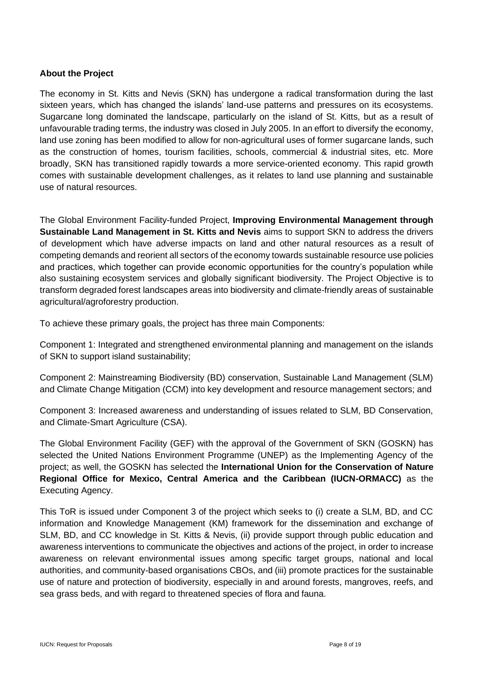## **About the Project**

The economy in St. Kitts and Nevis (SKN) has undergone a radical transformation during the last sixteen years, which has changed the islands' land-use patterns and pressures on its ecosystems. Sugarcane long dominated the landscape, particularly on the island of St. Kitts, but as a result of unfavourable trading terms, the industry was closed in July 2005. In an effort to diversify the economy, land use zoning has been modified to allow for non-agricultural uses of former sugarcane lands, such as the construction of homes, tourism facilities, schools, commercial & industrial sites, etc. More broadly, SKN has transitioned rapidly towards a more service-oriented economy. This rapid growth comes with sustainable development challenges, as it relates to land use planning and sustainable use of natural resources.

The Global Environment Facility-funded Project, **Improving Environmental Management through Sustainable Land Management in St. Kitts and Nevis** aims to support SKN to address the drivers of development which have adverse impacts on land and other natural resources as a result of competing demands and reorient all sectors of the economy towards sustainable resource use policies and practices, which together can provide economic opportunities for the country's population while also sustaining ecosystem services and globally significant biodiversity. The Project Objective is to transform degraded forest landscapes areas into biodiversity and climate-friendly areas of sustainable agricultural/agroforestry production.

To achieve these primary goals, the project has three main Components:

Component 1: Integrated and strengthened environmental planning and management on the islands of SKN to support island sustainability;

Component 2: Mainstreaming Biodiversity (BD) conservation, Sustainable Land Management (SLM) and Climate Change Mitigation (CCM) into key development and resource management sectors; and

Component 3: Increased awareness and understanding of issues related to SLM, BD Conservation, and Climate-Smart Agriculture (CSA).

The Global Environment Facility (GEF) with the approval of the Government of SKN (GOSKN) has selected the United Nations Environment Programme (UNEP) as the Implementing Agency of the project; as well, the GOSKN has selected the **International Union for the Conservation of Nature Regional Office for Mexico, Central America and the Caribbean (IUCN-ORMACC)** as the Executing Agency.

This ToR is issued under Component 3 of the project which seeks to (i) create a SLM, BD, and CC information and Knowledge Management (KM) framework for the dissemination and exchange of SLM, BD, and CC knowledge in St. Kitts & Nevis, (ii) provide support through public education and awareness interventions to communicate the objectives and actions of the project, in order to increase awareness on relevant environmental issues among specific target groups, national and local authorities, and community-based organisations CBOs, and (iii) promote practices for the sustainable use of nature and protection of biodiversity, especially in and around forests, mangroves, reefs, and sea grass beds, and with regard to threatened species of flora and fauna.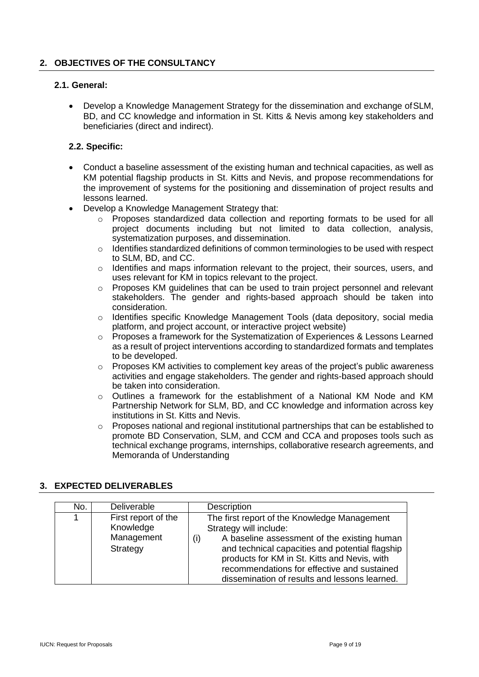## **2. OBJECTIVES OF THE CONSULTANCY**

## **2.1. General:**

• Develop a Knowledge Management Strategy for the dissemination and exchange ofSLM, BD, and CC knowledge and information in St. Kitts & Nevis among key stakeholders and beneficiaries (direct and indirect).

## **2.2. Specific:**

- Conduct a baseline assessment of the existing human and technical capacities, as well as KM potential flagship products in St. Kitts and Nevis, and propose recommendations for the improvement of systems for the positioning and dissemination of project results and lessons learned.
- Develop a Knowledge Management Strategy that:
	- o Proposes standardized data collection and reporting formats to be used for all project documents including but not limited to data collection, analysis, systematization purposes, and dissemination.
	- $\circ$  Identifies standardized definitions of common terminologies to be used with respect to SLM, BD, and CC.
	- $\circ$  Identifies and maps information relevant to the project, their sources, users, and uses relevant for KM in topics relevant to the project.
	- o Proposes KM guidelines that can be used to train project personnel and relevant stakeholders. The gender and rights-based approach should be taken into consideration.
	- o Identifies specific Knowledge Management Tools (data depository, social media platform, and project account, or interactive project website)
	- $\circ$  Proposes a framework for the Systematization of Experiences & Lessons Learned as a result of project interventions according to standardized formats and templates to be developed.
	- o Proposes KM activities to complement key areas of the project's public awareness activities and engage stakeholders. The gender and rights-based approach should be taken into consideration.
	- o Outlines a framework for the establishment of a National KM Node and KM Partnership Network for SLM, BD, and CC knowledge and information across key institutions in St. Kitts and Nevis.
	- Proposes national and regional institutional partnerships that can be established to promote BD Conservation, SLM, and CCM and CCA and proposes tools such as technical exchange programs, internships, collaborative research agreements, and Memoranda of Understanding

## **3. EXPECTED DELIVERABLES**

| No. | Deliverable                                                | Description                                                                                                                                                                                                                                                                                                                     |
|-----|------------------------------------------------------------|---------------------------------------------------------------------------------------------------------------------------------------------------------------------------------------------------------------------------------------------------------------------------------------------------------------------------------|
|     | First report of the<br>Knowledge<br>Management<br>Strategy | The first report of the Knowledge Management<br>Strategy will include:<br>A baseline assessment of the existing human<br>(i)<br>and technical capacities and potential flagship<br>products for KM in St. Kitts and Nevis, with<br>recommendations for effective and sustained<br>dissemination of results and lessons learned. |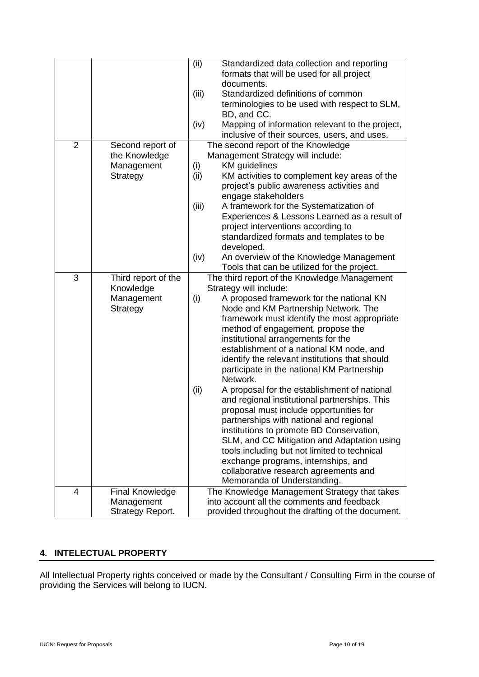|                |                        | (ii)  | Standardized data collection and reporting        |
|----------------|------------------------|-------|---------------------------------------------------|
|                |                        |       | formats that will be used for all project         |
|                |                        |       | documents.                                        |
|                |                        | (iii) | Standardized definitions of common                |
|                |                        |       |                                                   |
|                |                        |       | terminologies to be used with respect to SLM,     |
|                |                        |       | BD, and CC.                                       |
|                |                        | (iv)  | Mapping of information relevant to the project,   |
|                |                        |       | inclusive of their sources, users, and uses.      |
| $\overline{2}$ | Second report of       |       | The second report of the Knowledge                |
|                | the Knowledge          |       | Management Strategy will include:                 |
|                | Management             | (i)   | <b>KM</b> guidelines                              |
|                | Strategy               | (ii)  | KM activities to complement key areas of the      |
|                |                        |       | project's public awareness activities and         |
|                |                        |       | engage stakeholders                               |
|                |                        | (iii) | A framework for the Systematization of            |
|                |                        |       |                                                   |
|                |                        |       | Experiences & Lessons Learned as a result of      |
|                |                        |       | project interventions according to                |
|                |                        |       | standardized formats and templates to be          |
|                |                        |       | developed.                                        |
|                |                        | (iv)  | An overview of the Knowledge Management           |
|                |                        |       | Tools that can be utilized for the project.       |
| 3              | Third report of the    |       | The third report of the Knowledge Management      |
|                | Knowledge              |       | Strategy will include:                            |
|                | Management             | (i)   | A proposed framework for the national KN          |
|                | Strategy               |       | Node and KM Partnership Network. The              |
|                |                        |       | framework must identify the most appropriate      |
|                |                        |       | method of engagement, propose the                 |
|                |                        |       | institutional arrangements for the                |
|                |                        |       | establishment of a national KM node, and          |
|                |                        |       | identify the relevant institutions that should    |
|                |                        |       |                                                   |
|                |                        |       | participate in the national KM Partnership        |
|                |                        |       | Network.                                          |
|                |                        | (ii)  | A proposal for the establishment of national      |
|                |                        |       | and regional institutional partnerships. This     |
|                |                        |       | proposal must include opportunities for           |
|                |                        |       | partnerships with national and regional           |
|                |                        |       | institutions to promote BD Conservation,          |
|                |                        |       | SLM, and CC Mitigation and Adaptation using       |
|                |                        |       | tools including but not limited to technical      |
|                |                        |       | exchange programs, internships, and               |
|                |                        |       | collaborative research agreements and             |
|                |                        |       | Memoranda of Understanding.                       |
| 4              | <b>Final Knowledge</b> |       | The Knowledge Management Strategy that takes      |
|                | Management             |       | into account all the comments and feedback        |
|                | Strategy Report.       |       | provided throughout the drafting of the document. |
|                |                        |       |                                                   |

## **4. INTELECTUAL PROPERTY**

All Intellectual Property rights conceived or made by the Consultant / Consulting Firm in the course of providing the Services will belong to IUCN.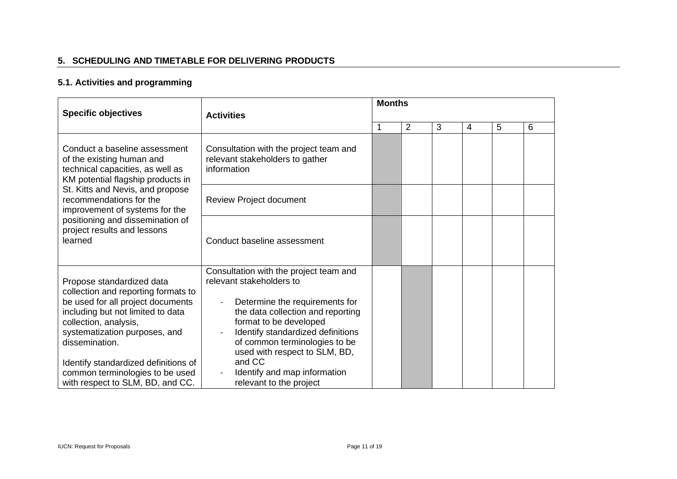## **5. SCHEDULING AND TIMETABLE FOR DELIVERING PRODUCTS**

## **5.1. Activities and programming**

| <b>Specific objectives</b>                                                                                                                                                                                                                                                                                                            | <b>Activities</b>                                                                                                                                                                                                                                                                                                                               |   | <b>Months</b>  |   |   |   |   |  |
|---------------------------------------------------------------------------------------------------------------------------------------------------------------------------------------------------------------------------------------------------------------------------------------------------------------------------------------|-------------------------------------------------------------------------------------------------------------------------------------------------------------------------------------------------------------------------------------------------------------------------------------------------------------------------------------------------|---|----------------|---|---|---|---|--|
|                                                                                                                                                                                                                                                                                                                                       |                                                                                                                                                                                                                                                                                                                                                 | 1 | $\overline{2}$ | 3 | 4 | 5 | 6 |  |
| Conduct a baseline assessment<br>of the existing human and<br>technical capacities, as well as<br>KM potential flagship products in                                                                                                                                                                                                   | Consultation with the project team and<br>relevant stakeholders to gather<br>information                                                                                                                                                                                                                                                        |   |                |   |   |   |   |  |
| St. Kitts and Nevis, and propose<br>recommendations for the<br>improvement of systems for the<br>positioning and dissemination of<br>project results and lessons<br>learned                                                                                                                                                           | Review Project document                                                                                                                                                                                                                                                                                                                         |   |                |   |   |   |   |  |
|                                                                                                                                                                                                                                                                                                                                       | Conduct baseline assessment                                                                                                                                                                                                                                                                                                                     |   |                |   |   |   |   |  |
| Propose standardized data<br>collection and reporting formats to<br>be used for all project documents<br>including but not limited to data<br>collection, analysis,<br>systematization purposes, and<br>dissemination.<br>Identify standardized definitions of<br>common terminologies to be used<br>with respect to SLM, BD, and CC. | Consultation with the project team and<br>relevant stakeholders to<br>Determine the requirements for<br>the data collection and reporting<br>format to be developed<br>Identify standardized definitions<br>of common terminologies to be<br>used with respect to SLM, BD,<br>and CC<br>Identify and map information<br>relevant to the project |   |                |   |   |   |   |  |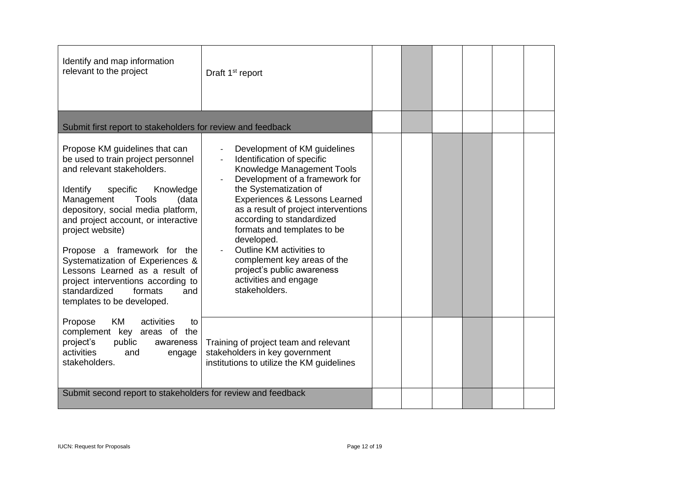| Identify and map information<br>relevant to the project                                                                                                                                                                                                                                                                                                                                                                                                                                    | Draft 1 <sup>st</sup> report                                                                                                                                                                                                                                                                                                                                                                                                                                           |  |  |  |
|--------------------------------------------------------------------------------------------------------------------------------------------------------------------------------------------------------------------------------------------------------------------------------------------------------------------------------------------------------------------------------------------------------------------------------------------------------------------------------------------|------------------------------------------------------------------------------------------------------------------------------------------------------------------------------------------------------------------------------------------------------------------------------------------------------------------------------------------------------------------------------------------------------------------------------------------------------------------------|--|--|--|
| Submit first report to stakeholders for review and feedback                                                                                                                                                                                                                                                                                                                                                                                                                                |                                                                                                                                                                                                                                                                                                                                                                                                                                                                        |  |  |  |
| Propose KM guidelines that can<br>be used to train project personnel<br>and relevant stakeholders.<br>Identify<br>specific<br>Knowledge<br><b>Tools</b><br>Management<br>(data<br>depository, social media platform,<br>and project account, or interactive<br>project website)<br>Propose a framework for the<br>Systematization of Experiences &<br>Lessons Learned as a result of<br>project interventions according to<br>standardized<br>formats<br>and<br>templates to be developed. | Development of KM guidelines<br>$\overline{\phantom{a}}$<br>Identification of specific<br>Knowledge Management Tools<br>Development of a framework for<br>the Systematization of<br>Experiences & Lessons Learned<br>as a result of project interventions<br>according to standardized<br>formats and templates to be<br>developed.<br>Outline KM activities to<br>complement key areas of the<br>project's public awareness<br>activities and engage<br>stakeholders. |  |  |  |
| activities<br>Propose<br>KM.<br>to<br>complement key areas of the<br>project's<br>public<br>awareness<br>activities<br>and<br>engage<br>stakeholders.                                                                                                                                                                                                                                                                                                                                      | Training of project team and relevant<br>stakeholders in key government<br>institutions to utilize the KM guidelines                                                                                                                                                                                                                                                                                                                                                   |  |  |  |
| Submit second report to stakeholders for review and feedback                                                                                                                                                                                                                                                                                                                                                                                                                               |                                                                                                                                                                                                                                                                                                                                                                                                                                                                        |  |  |  |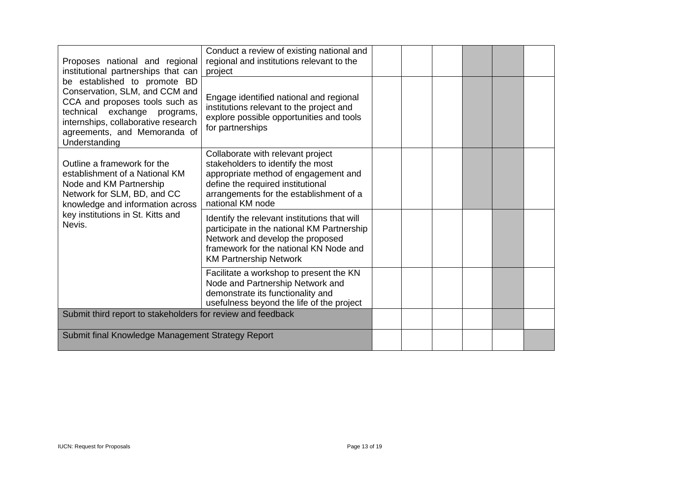| Proposes national and regional<br>institutional partnerships that can                                                                                                                                                    | Conduct a review of existing national and<br>regional and institutions relevant to the<br>project                                                                                                                  |  |  |  |
|--------------------------------------------------------------------------------------------------------------------------------------------------------------------------------------------------------------------------|--------------------------------------------------------------------------------------------------------------------------------------------------------------------------------------------------------------------|--|--|--|
| be established to promote BD<br>Conservation, SLM, and CCM and<br>CCA and proposes tools such as<br>technical exchange programs,<br>internships, collaborative research<br>agreements, and Memoranda of<br>Understanding | Engage identified national and regional<br>institutions relevant to the project and<br>explore possible opportunities and tools<br>for partnerships                                                                |  |  |  |
| Outline a framework for the<br>establishment of a National KM<br>Node and KM Partnership<br>Network for SLM, BD, and CC<br>knowledge and information across                                                              | Collaborate with relevant project<br>stakeholders to identify the most<br>appropriate method of engagement and<br>define the required institutional<br>arrangements for the establishment of a<br>national KM node |  |  |  |
| key institutions in St. Kitts and<br>Nevis.                                                                                                                                                                              | Identify the relevant institutions that will<br>participate in the national KM Partnership<br>Network and develop the proposed<br>framework for the national KN Node and<br><b>KM Partnership Network</b>          |  |  |  |
|                                                                                                                                                                                                                          | Facilitate a workshop to present the KN<br>Node and Partnership Network and<br>demonstrate its functionality and<br>usefulness beyond the life of the project                                                      |  |  |  |
| Submit third report to stakeholders for review and feedback                                                                                                                                                              |                                                                                                                                                                                                                    |  |  |  |
| Submit final Knowledge Management Strategy Report                                                                                                                                                                        |                                                                                                                                                                                                                    |  |  |  |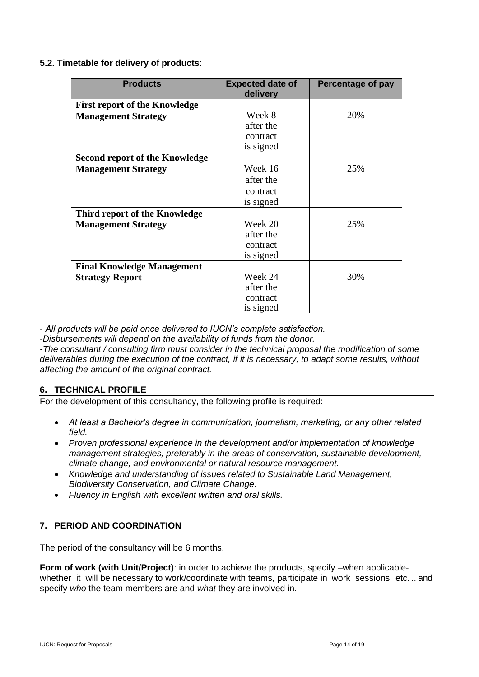**5.2. Timetable for delivery of products**:

| <b>Products</b>                       | <b>Expected date of</b> | Percentage of pay |
|---------------------------------------|-------------------------|-------------------|
|                                       | delivery                |                   |
| <b>First report of the Knowledge</b>  |                         |                   |
| <b>Management Strategy</b>            | Week 8                  | 20%               |
|                                       | after the               |                   |
|                                       | contract                |                   |
|                                       | is signed               |                   |
| <b>Second report of the Knowledge</b> |                         |                   |
| <b>Management Strategy</b>            | Week 16                 | 25%               |
|                                       | after the               |                   |
|                                       | contract                |                   |
|                                       | is signed               |                   |
| Third report of the Knowledge         |                         |                   |
| <b>Management Strategy</b>            | Week 20                 | 25%               |
|                                       | after the               |                   |
|                                       | contract                |                   |
|                                       | is signed               |                   |
| <b>Final Knowledge Management</b>     |                         |                   |
| <b>Strategy Report</b>                | Week 24                 | 30%               |
|                                       | after the               |                   |
|                                       | contract                |                   |
|                                       | is signed               |                   |

*- All products will be paid once delivered to IUCN's complete satisfaction.*

*-Disbursements will depend on the availability of funds from the donor.*

*-The consultant / consulting firm must consider in the technical proposal the modification of some deliverables during the execution of the contract, if it is necessary, to adapt some results, without affecting the amount of the original contract.*

## **6. TECHNICAL PROFILE**

For the development of this consultancy, the following profile is required:

- *At least a Bachelor's degree in communication, journalism, marketing, or any other related field.*
- *Proven professional experience in the development and/or implementation of knowledge management strategies, preferably in the areas of conservation, sustainable development, climate change, and environmental or natural resource management.*
- *Knowledge and understanding of issues related to Sustainable Land Management, Biodiversity Conservation, and Climate Change.*
- *Fluency in English with excellent written and oral skills.*

## **7. PERIOD AND COORDINATION**

The period of the consultancy will be 6 months.

**Form of work (with Unit/Project)**: in order to achieve the products, specify –when applicablewhether it will be necessary to work/coordinate with teams, participate in work sessions, etc. .. and specify *who* the team members are and *what* they are involved in.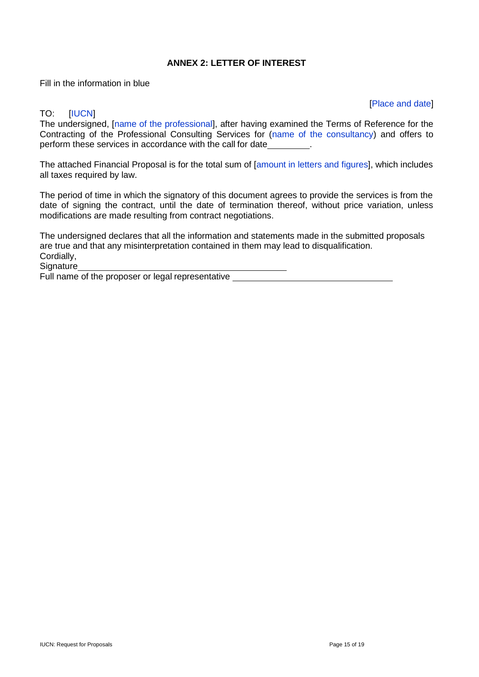## **ANNEX 2: LETTER OF INTEREST**

Fill in the information in blue

#### [Place and date]

## TO: [IUCN]

The undersigned, [name of the professional], after having examined the Terms of Reference for the Contracting of the Professional Consulting Services for (name of the consultancy) and offers to perform these services in accordance with the call for date **...** 

The attached Financial Proposal is for the total sum of [amount in letters and figures], which includes all taxes required by law.

The period of time in which the signatory of this document agrees to provide the services is from the date of signing the contract, until the date of termination thereof, without price variation, unless modifications are made resulting from contract negotiations.

The undersigned declares that all the information and statements made in the submitted proposals are true and that any misinterpretation contained in them may lead to disqualification. Cordially,

**Signature** 

Full name of the proposer or legal representative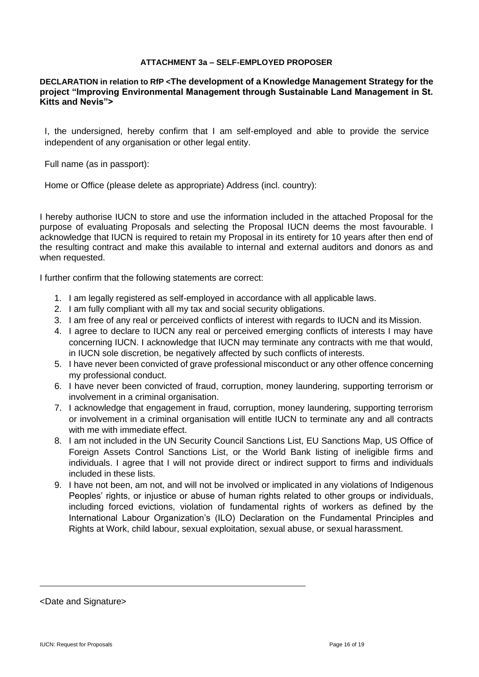## **ATTACHMENT 3a – SELF-EMPLOYED PROPOSER**

#### **DECLARATION in relation to RfP <The development of a Knowledge Management Strategy for the project "Improving Environmental Management through Sustainable Land Management in St. Kitts and Nevis">**

I, the undersigned, hereby confirm that I am self-employed and able to provide the service independent of any organisation or other legal entity.

Full name (as in passport):

Home or Office (please delete as appropriate) Address (incl. country):

I hereby authorise IUCN to store and use the information included in the attached Proposal for the purpose of evaluating Proposals and selecting the Proposal IUCN deems the most favourable. I acknowledge that IUCN is required to retain my Proposal in its entirety for 10 years after then end of the resulting contract and make this available to internal and external auditors and donors as and when requested.

I further confirm that the following statements are correct:

- 1. I am legally registered as self-employed in accordance with all applicable laws.
- 2. I am fully compliant with all my tax and social security obligations.
- 3. I am free of any real or perceived conflicts of interest with regards to IUCN and its Mission.
- 4. I agree to declare to IUCN any real or perceived emerging conflicts of interests I may have concerning IUCN. I acknowledge that IUCN may terminate any contracts with me that would, in IUCN sole discretion, be negatively affected by such conflicts of interests.
- 5. I have never been convicted of grave professional misconduct or any other offence concerning my professional conduct.
- 6. I have never been convicted of fraud, corruption, money laundering, supporting terrorism or involvement in a criminal organisation.
- 7. I acknowledge that engagement in fraud, corruption, money laundering, supporting terrorism or involvement in a criminal organisation will entitle IUCN to terminate any and all contracts with me with immediate effect.
- 8. I am not included in the UN Security Council Sanctions List, EU Sanctions Map, US Office of Foreign Assets Control Sanctions List, or the World Bank listing of ineligible firms and individuals. I agree that I will not provide direct or indirect support to firms and individuals included in these lists.
- 9. I have not been, am not, and will not be involved or implicated in any violations of Indigenous Peoples' rights, or injustice or abuse of human rights related to other groups or individuals, including forced evictions, violation of fundamental rights of workers as defined by the International Labour Organization's (ILO) Declaration on the Fundamental Principles and Rights at Work, child labour, sexual exploitation, sexual abuse, or sexual harassment.

<Date and Signature>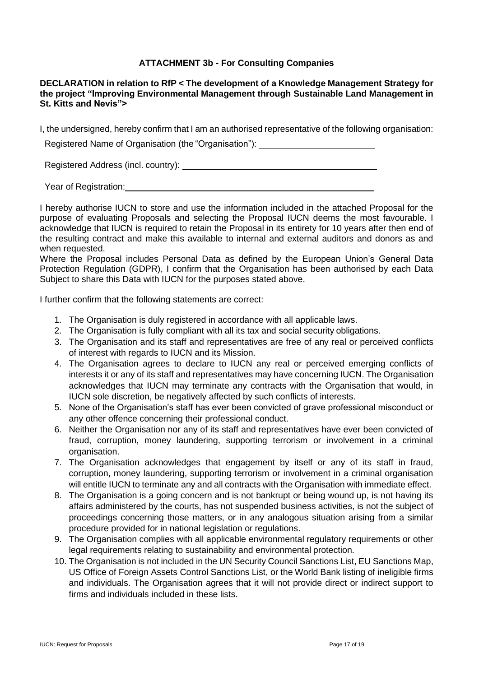## **ATTACHMENT 3b - For Consulting Companies**

**DECLARATION in relation to RfP < The development of a Knowledge Management Strategy for the project "Improving Environmental Management through Sustainable Land Management in St. Kitts and Nevis">**

I, the undersigned, hereby confirm that I am an authorised representative of the following organisation:

Registered Name of Organisation (the "Organisation"):

Registered Address (incl. country):

Year of Registration:

I hereby authorise IUCN to store and use the information included in the attached Proposal for the purpose of evaluating Proposals and selecting the Proposal IUCN deems the most favourable. I acknowledge that IUCN is required to retain the Proposal in its entirety for 10 years after then end of the resulting contract and make this available to internal and external auditors and donors as and when requested.

Where the Proposal includes Personal Data as defined by the European Union's General Data Protection Regulation (GDPR), I confirm that the Organisation has been authorised by each Data Subject to share this Data with IUCN for the purposes stated above.

I further confirm that the following statements are correct:

- 1. The Organisation is duly registered in accordance with all applicable laws.
- 2. The Organisation is fully compliant with all its tax and social security obligations.
- 3. The Organisation and its staff and representatives are free of any real or perceived conflicts of interest with regards to IUCN and its Mission.
- 4. The Organisation agrees to declare to IUCN any real or perceived emerging conflicts of interests it or any of its staff and representatives may have concerning IUCN. The Organisation acknowledges that IUCN may terminate any contracts with the Organisation that would, in IUCN sole discretion, be negatively affected by such conflicts of interests.
- 5. None of the Organisation's staff has ever been convicted of grave professional misconduct or any other offence concerning their professional conduct.
- 6. Neither the Organisation nor any of its staff and representatives have ever been convicted of fraud, corruption, money laundering, supporting terrorism or involvement in a criminal organisation.
- 7. The Organisation acknowledges that engagement by itself or any of its staff in fraud, corruption, money laundering, supporting terrorism or involvement in a criminal organisation will entitle IUCN to terminate any and all contracts with the Organisation with immediate effect.
- 8. The Organisation is a going concern and is not bankrupt or being wound up, is not having its affairs administered by the courts, has not suspended business activities, is not the subject of proceedings concerning those matters, or in any analogous situation arising from a similar procedure provided for in national legislation or regulations.
- 9. The Organisation complies with all applicable environmental regulatory requirements or other legal requirements relating to sustainability and environmental protection.
- 10. The Organisation is not included in the UN Security Council Sanctions List, EU Sanctions Map, US Office of Foreign Assets Control Sanctions List, or the World Bank listing of ineligible firms and individuals. The Organisation agrees that it will not provide direct or indirect support to firms and individuals included in these lists.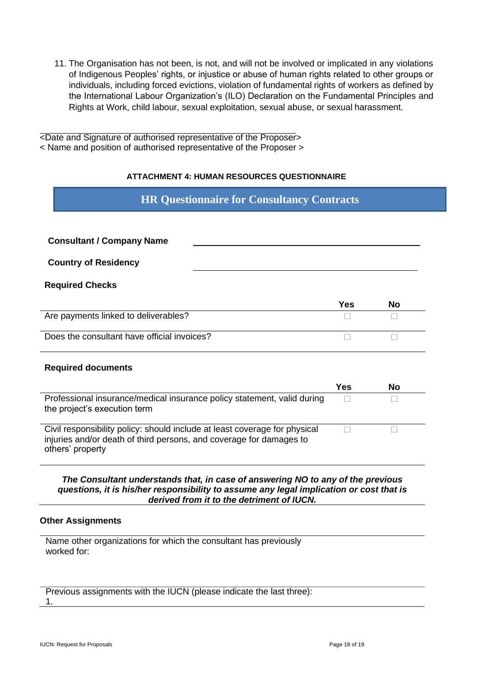11. The Organisation has not been, is not, and will not be involved or implicated in any violations of Indigenous Peoples' rights, or injustice or abuse of human rights related to other groups or individuals, including forced evictions, violation of fundamental rights of workers as defined by the International Labour Organization's (ILO) Declaration on the Fundamental Principles and Rights at Work, child labour, sexual exploitation, sexual abuse, or sexual harassment.

<Date and Signature of authorised representative of the Proposer> < Name and position of authorised representative of the Proposer >

## **ATTACHMENT 4: HUMAN RESOURCES QUESTIONNAIRE**

## **HR Questionnaire for Consultancy Contracts**

| <b>Consultant / Company Name</b>                                                                                                                                      |            |           |  |
|-----------------------------------------------------------------------------------------------------------------------------------------------------------------------|------------|-----------|--|
| <b>Country of Residency</b>                                                                                                                                           |            |           |  |
| <b>Required Checks</b>                                                                                                                                                |            |           |  |
|                                                                                                                                                                       | Yes        | <b>No</b> |  |
| Are payments linked to deliverables?                                                                                                                                  |            |           |  |
| Does the consultant have official invoices?                                                                                                                           |            |           |  |
| <b>Required documents</b>                                                                                                                                             |            |           |  |
|                                                                                                                                                                       | <b>Yes</b> | <b>No</b> |  |
| Professional insurance/medical insurance policy statement, valid during<br>the project's execution term                                                               |            |           |  |
| Civil responsibility policy: should include at least coverage for physical<br>injuries and/or death of third persons, and coverage for damages to<br>others' property |            |           |  |

*The Consultant understands that, in case of answering NO to any of the previous questions, it is his/her responsibility to assume any legal implication or cost that is derived from it to the detriment of IUCN.*

#### **Other Assignments**

Name other organizations for which the consultant has previously worked for:

Previous assignments with the IUCN (please indicate the last three): 1.